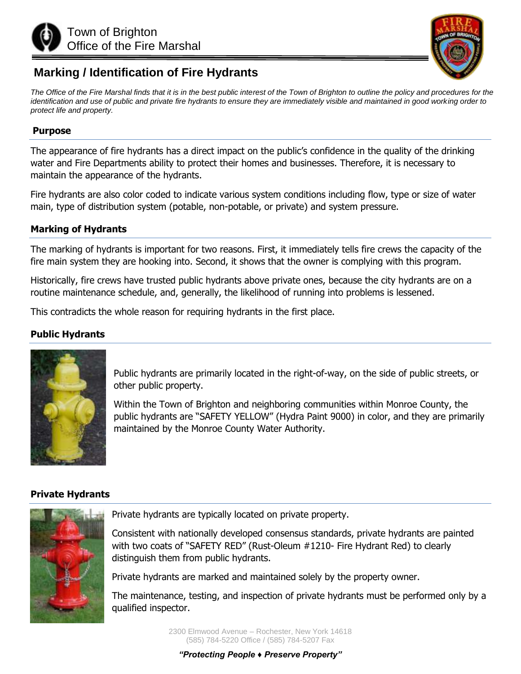



# **Marking / Identification of Fire Hydrants**

The Office of the Fire Marshal finds that it is in the best public interest of the Town of Brighton to outline the policy and procedures for the *identification and use of public and private fire hydrants to ensure they are immediately visible and maintained in good working order to protect life and property.* 

#### **Purpose**

The appearance of fire hydrants has a direct impact on the public's confidence in the quality of the drinking water and Fire Departments ability to protect their homes and businesses. Therefore, it is necessary to maintain the appearance of the hydrants.

Fire hydrants are also color coded to indicate various system conditions including flow, type or size of water main, type of distribution system (potable, non-potable, or private) and system pressure.

### **Marking of Hydrants**

The marking of hydrants is important for two reasons. First, it immediately tells fire crews the capacity of the fire main system they are hooking into. Second, it shows that the owner is complying with this program.

Historically, fire crews have trusted public hydrants above private ones, because the city hydrants are on a routine maintenance schedule, and, generally, the likelihood of running into problems is lessened.

This contradicts the whole reason for requiring hydrants in the first place.

## **Public Hydrants**



Public hydrants are primarily located in the right-of-way, on the side of public streets, or other public property.

Within the Town of Brighton and neighboring communities within Monroe County, the public hydrants are "SAFETY YELLOW" (Hydra Paint 9000) in color, and they are primarily maintained by the Monroe County Water Authority.

### **Private Hydrants**



Private hydrants are typically located on private property.

Consistent with nationally developed consensus standards, private hydrants are painted with two coats of "SAFETY RED" (Rust-Oleum #1210- Fire Hydrant Red) to clearly distinguish them from public hydrants.

Private hydrants are marked and maintained solely by the property owner.

The maintenance, testing, and inspection of private hydrants must be performed only by a qualified inspector.

> 2300 Elmwood Avenue – Rochester, New York 14618 (585) 784-5220 Office / (585) 784-5207 Fax